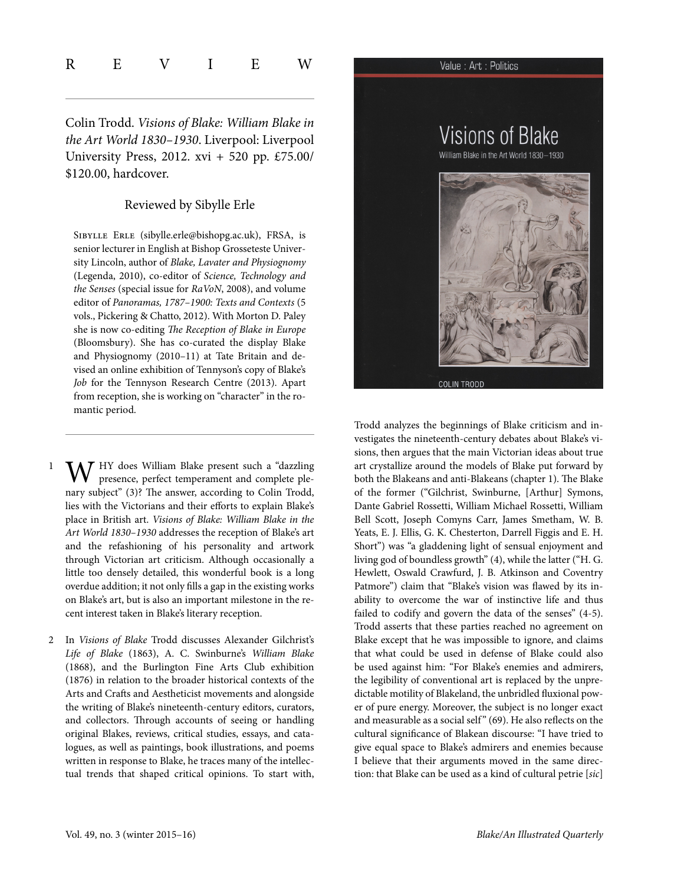| $\overline{\mathrm{R}}$ | – − |  | <b>IAT</b> |
|-------------------------|-----|--|------------|
|                         |     |  |            |

Colin Trodd. Visions of Blake: William Blake in the Art World 1830–1930. Liverpool: Liverpool University Press, 2012. xvi + 520 pp. £75.00/ \$120.00, hardcover.

## Reviewed by Sibylle Erle

Sibylle Erle ([sibylle.erle@bishopg.ac.uk](mailto:sibylle.erle@bishopg.ac.uk)), FRSA, is senior lecturer in English at Bishop Grosseteste University Lincoln, author of Blake, Lavater and Physiognomy (Legenda, 2010), co-editor of Science, Technology and the Senses (special issue for RaVoN, 2008), and volume editor of Panoramas, 1787–1900: Texts and Contexts (5 vols., Pickering & Chatto, 2012). With Morton D. Paley she is now co-editing The Reception of Blake in Europe (Bloomsbury). She has co-curated the display Blake and Physiognomy (2010–11) at Tate Britain and devised an online exhibition of Tennyson's copy of Blake's Job for the Tennyson Research Centre (2013). Apart from reception, she is working on "character" in the romantic period.

- $\Lambda$ 7 HY does William Blake present such a "dazzling presence, perfect temperament and complete plenary subject" (3)? The answer, according to Colin Trodd, lies with the Victorians and their efforts to explain Blake's place in British art. Visions of Blake: William Blake in the Art World 1830–1930 addresses the reception of Blake's art and the refashioning of his personality and artwork through Victorian art criticism. Although occasionally a little too densely detailed, this wonderful book is a long overdue addition; it not only fills a gap in the existing works on Blake's art, but is also an important milestone in the recent interest taken in Blake's literary reception.
- 2 In Visions of Blake Trodd discusses Alexander Gilchrist's Life of Blake (1863), A. C. Swinburne's William Blake (1868), and the Burlington Fine Arts Club exhibition (1876) in relation to the broader historical contexts of the Arts and Crafts and Aestheticist movements and alongside the writing of Blake's nineteenth-century editors, curators, and collectors. Through accounts of seeing or handling original Blakes, reviews, critical studies, essays, and catalogues, as well as paintings, book illustrations, and poems written in response to Blake, he traces many of the intellectual trends that shaped critical opinions. To start with,



Trodd analyzes the beginnings of Blake criticism and investigates the nineteenth-century debates about Blake's visions, then argues that the main Victorian ideas about true art crystallize around the models of Blake put forward by both the Blakeans and anti-Blakeans (chapter 1). The Blake of the former ("Gilchrist, Swinburne, [Arthur] Symons, Dante Gabriel Rossetti, William Michael Rossetti, William Bell Scott, Joseph Comyns Carr, James Smetham, W. B. Yeats, E. J. Ellis, G. K. Chesterton, Darrell Figgis and E. H. Short") was "a gladdening light of sensual enjoyment and living god of boundless growth" (4), while the latter ("H. G. Hewlett, Oswald Crawfurd, J. B. Atkinson and Coventry Patmore") claim that "Blake's vision was flawed by its inability to overcome the war of instinctive life and thus failed to codify and govern the data of the senses" (4-5). Trodd asserts that these parties reached no agreement on Blake except that he was impossible to ignore, and claims that what could be used in defense of Blake could also be used against him: "For Blake's enemies and admirers, the legibility of conventional art is replaced by the unpredictable motility of Blakeland, the unbridled fluxional power of pure energy. Moreover, the subject is no longer exact and measurable as a social self" (69). He also reflects on the cultural significance of Blakean discourse: "I have tried to give equal space to Blake's admirers and enemies because I believe that their arguments moved in the same direction: that Blake can be used as a kind of cultural petrie [sic]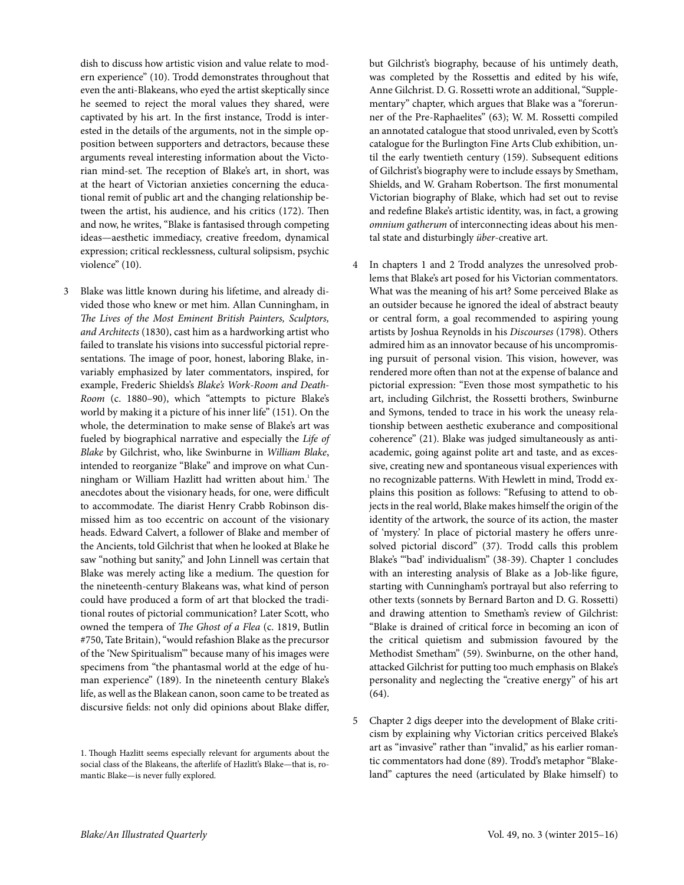dish to discuss how artistic vision and value relate to modern experience" (10). Trodd demonstrates throughout that even the anti-Blakeans, who eyed the artist skeptically since he seemed to reject the moral values they shared, were captivated by his art. In the first instance, Trodd is interested in the details of the arguments, not in the simple opposition between supporters and detractors, because these arguments reveal interesting information about the Victorian mind-set. The reception of Blake's art, in short, was at the heart of Victorian anxieties concerning the educational remit of public art and the changing relationship between the artist, his audience, and his critics (172). Then and now, he writes, "Blake is fantasised through competing ideas—aesthetic immediacy, creative freedom, dynamical expression; critical recklessness, cultural solipsism, psychic violence" (10).

Blake was little known during his lifetime, and already divided those who knew or met him. Allan Cunningham, in The Lives of the Most Eminent British Painters, Sculptors, and Architects (1830), cast him as a hardworking artist who failed to translate his visions into successful pictorial representations. The image of poor, honest, laboring Blake, invariably emphasized by later commentators, inspired, for example, Frederic Shields's Blake's [Work-Room](http://manchesterartgallery.org/collections/search/collection/?id=1917.675) and Death-[Room](http://manchesterartgallery.org/collections/search/collection/?id=1917.675) (c. 1880–90), which "attempts to picture Blake's world by making it a picture of his inner life" (151). On the whole, the determination to make sense of Blake's art was fueled by biographical narrative and especially the Life of Blake by Gilchrist, who, like Swinburne in William Blake, intended to reorganize "Blake" and improve on what Cunningham or William Hazlitt had written about him.<sup>1</sup> The anecdotes about the visionary heads, for one, were difficult to accommodate. The diarist Henry Crabb Robinson dismissed him as too eccentric on account of the visionary heads. Edward Calvert, a follower of Blake and member of the Ancients, told Gilchrist that when he looked at Blake he saw "nothing but sanity," and John Linnell was certain that Blake was merely acting like a medium. The question for the nineteenth-century Blakeans was, what kind of person could have produced a form of art that blocked the traditional routes of pictorial communication? Later Scott, who owned the tempera of The [Ghost](http://www.tate.org.uk/art/artworks/blake-the-ghost-of-a-flea-n05889) of a Flea (c. 1819, Butlin #750, Tate Britain),"would refashion Blake as the precursor of the 'New Spiritualism'" because many of his images were specimens from "the phantasmal world at the edge of human experience" (189). In the nineteenth century Blake's life, as well as the Blakean canon, soon came to be treated as discursive fields: not only did opinions about Blake differ,

but Gilchrist's biography, because of his untimely death, was completed by the Rossettis and edited by his wife, Anne Gilchrist. D. G. Rossetti wrote an additional,"Supplementary" chapter, which argues that Blake was a "forerunner of the Pre-Raphaelites" (63); W. M. Rossetti compiled an annotated catalogue that stood unrivaled, even by Scott's catalogue for the Burlington Fine Arts Club exhibition, until the early twentieth century (159). Subsequent editions of Gilchrist's biography were to include essays by Smetham, Shields, and W. Graham Robertson. The first monumental Victorian biography of Blake, which had set out to revise and redefine Blake's artistic identity, was, in fact, a growing omnium gatherum of interconnecting ideas about his mental state and disturbingly über-creative art.

- 4 In chapters 1 and 2 Trodd analyzes the unresolved problems that Blake's art posed for his Victorian commentators. What was the meaning of his art? Some perceived Blake as an outsider because he ignored the ideal of abstract beauty or central form, a goal recommended to aspiring young artists by Joshua Reynolds in his Discourses (1798). Others admired him as an innovator because of his uncompromising pursuit of personal vision. This vision, however, was rendered more often than not at the expense of balance and pictorial expression: "Even those most sympathetic to his art, including Gilchrist, the Rossetti brothers, Swinburne and Symons, tended to trace in his work the uneasy relationship between aesthetic exuberance and compositional coherence" (21). Blake was judged simultaneously as antiacademic, going against polite art and taste, and as excessive, creating new and spontaneous visual experiences with no recognizable patterns. With Hewlett in mind, Trodd explains this position as follows: "Refusing to attend to objects in the real world, Blake makes himself the origin of the identity of the artwork, the source of its action, the master of 'mystery.' In place of pictorial mastery he offers unresolved pictorial discord" (37). Trodd calls this problem Blake's "'bad' individualism" (38-39). Chapter 1 concludes with an interesting analysis of Blake as a Job-like figure, starting with Cunningham's portrayal but also referring to other texts (sonnets by Bernard Barton and D. G. Rossetti) and drawing attention to Smetham's review of Gilchrist: "Blake is drained of critical force in becoming an icon of the critical quietism and submission favoured by the Methodist Smetham" (59). Swinburne, on the other hand, attacked Gilchrist for putting too much emphasis on Blake's personality and neglecting the "creative energy" of his art (64).
- 5 Chapter 2 digs deeper into the development of Blake criticism by explaining why Victorian critics perceived Blake's art as "invasive" rather than "invalid," as his earlier romantic commentators had done (89). Trodd's metaphor "Blakeland" captures the need (articulated by Blake himself) to

<sup>1.</sup> Though Hazlitt seems especially relevant for arguments about the social class of the Blakeans, the afterlife of Hazlitt's Blake—that is, romantic Blake—is never fully explored.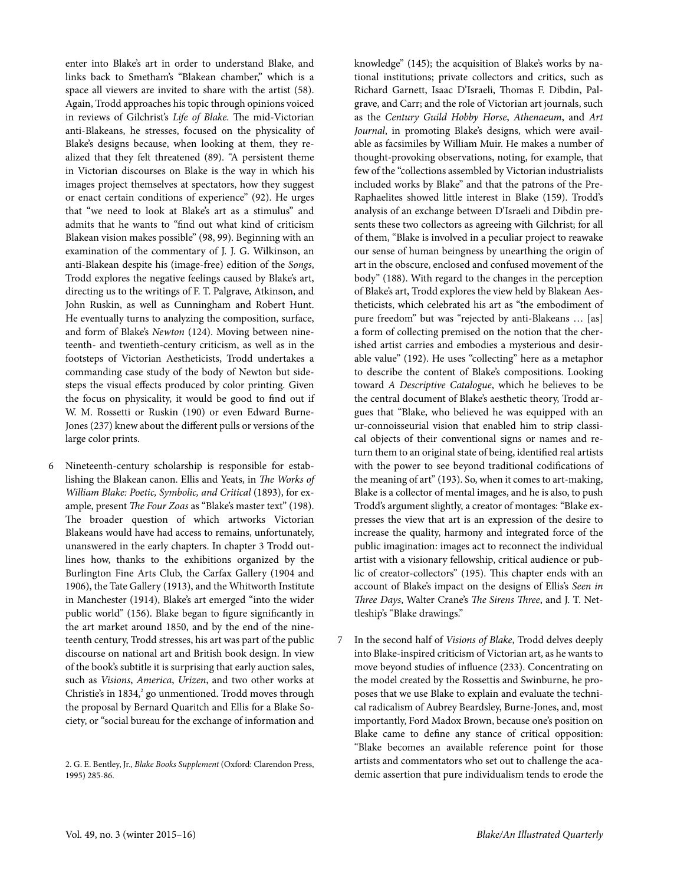enter into Blake's art in order to understand Blake, and links back to Smetham's "Blakean chamber," which is a space all viewers are invited to share with the artist (58). Again, Trodd approaches his topic through opinions voiced in reviews of Gilchrist's Life of Blake. The mid-Victorian anti-Blakeans, he stresses, focused on the physicality of Blake's designs because, when looking at them, they realized that they felt threatened (89). "A persistent theme in Victorian discourses on Blake is the way in which his images project themselves at spectators, how they suggest or enact certain conditions of experience" (92). He urges that "we need to look at Blake's art as a stimulus" and admits that he wants to "find out what kind of criticism Blakean vision makes possible" (98, 99). Beginning with an examination of the commentary of J. J. G. Wilkinson, an anti-Blakean despite his (image-free) edition of the Songs, Trodd explores the negative feelings caused by Blake's art, directing us to the writings of F. T. Palgrave, Atkinson, and John Ruskin, as well as Cunningham and Robert Hunt. He eventually turns to analyzing the composition, surface, and form of Blake's Newton (124). Moving between nineteenth- and twentieth-century criticism, as well as in the footsteps of Victorian Aestheticists, Trodd undertakes a commanding case study of the body of Newton but sidesteps the visual effects produced by color printing. Given the focus on physicality, it would be good to find out if W. M. Rossetti or Ruskin (190) or even Edward Burne-Jones (237) knew about the different pulls or versions of the large color prints.

- 6 Nineteenth-century scholarship is responsible for establishing the Blakean canon. Ellis and Yeats, in The Works of William Blake: Poetic, Symbolic, and Critical (1893), for example, present The Four Zoas as "Blake's master text" (198). The broader question of which artworks Victorian Blakeans would have had access to remains, unfortunately, unanswered in the early chapters. In chapter 3 Trodd outlines how, thanks to the exhibitions organized by the Burlington Fine Arts Club, the Carfax Gallery (1904 and 1906), the Tate Gallery (1913), and the Whitworth Institute in Manchester (1914), Blake's art emerged "into the wider public world" (156). Blake began to figure significantly in the art market around 1850, and by the end of the nineteenth century, Trodd stresses, his art was part of the public discourse on national art and British book design. In view of the book's subtitle it is surprising that early auction sales, such as Visions, America, Urizen, and two other works at Christie's in 1834,<sup>2</sup> go unmentioned. Trodd moves through the proposal by Bernard Quaritch and Ellis for a Blake Society, or "social bureau for the exchange of information and
	- 2. G. E. Bentley, Jr., Blake Books Supplement (Oxford: Clarendon Press, 1995) 285-86.

knowledge" (145); the acquisition of Blake's works by national institutions; private collectors and critics, such as Richard Garnett, Isaac D'Israeli, Thomas F. Dibdin, Palgrave, and Carr; and the role of Victorian art journals, such as the Century Guild Hobby Horse, Athenaeum, and Art Journal, in promoting Blake's designs, which were available as facsimiles by William Muir. He makes a number of thought-provoking observations, noting, for example, that few of the "collections assembled by Victorian industrialists included works by Blake" and that the patrons of the Pre-Raphaelites showed little interest in Blake (159). Trodd's analysis of an exchange between D'Israeli and Dibdin presents these two collectors as agreeing with Gilchrist; for all of them, "Blake is involved in a peculiar project to reawake our sense of human beingness by unearthing the origin of art in the obscure, enclosed and confused movement of the body" (188). With regard to the changes in the perception of Blake's art, Trodd explores the view held by Blakean Aestheticists, which celebrated his art as "the embodiment of pure freedom" but was "rejected by anti-Blakeans … [as] a form of collecting premised on the notion that the cherished artist carries and embodies a mysterious and desirable value" (192). He uses "collecting" here as a metaphor to describe the content of Blake's compositions. Looking toward A Descriptive Catalogue, which he believes to be the central document of Blake's aesthetic theory, Trodd argues that "Blake, who believed he was equipped with an ur-connoisseurial vision that enabled him to strip classical objects of their conventional signs or names and return them to an original state of being, identified real artists with the power to see beyond traditional codifications of the meaning of art" (193). So, when it comes to art-making, Blake is a collector of mental images, and he is also, to push Trodd's argument slightly, a creator of montages: "Blake expresses the view that art is an expression of the desire to increase the quality, harmony and integrated force of the public imagination: images act to reconnect the individual artist with a visionary fellowship, critical audience or public of creator-collectors" (195). This chapter ends with an account of Blake's impact on the designs of Ellis's Seen in Three Days, Walter Crane's The Sirens Three, and J. T. Nettleship's "Blake drawings."

7 In the second half of Visions of Blake, Trodd delves deeply into Blake-inspired criticism of Victorian art, as he wants to move beyond studies of influence (233). Concentrating on the model created by the Rossettis and Swinburne, he proposes that we use Blake to explain and evaluate the technical radicalism of Aubrey Beardsley, Burne-Jones, and, most importantly, Ford Madox Brown, because one's position on Blake came to define any stance of critical opposition: "Blake becomes an available reference point for those artists and commentators who set out to challenge the academic assertion that pure individualism tends to erode the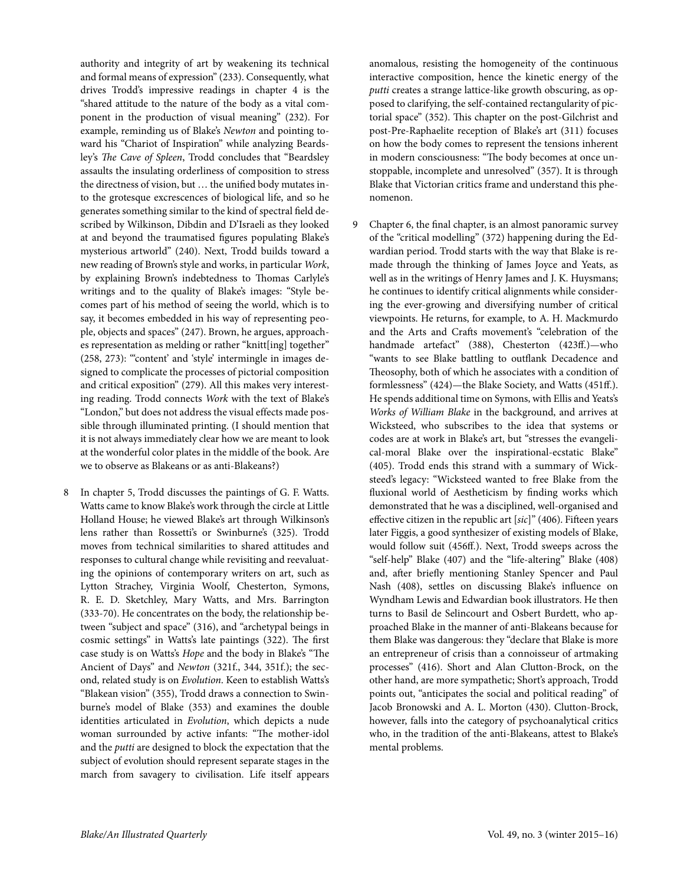authority and integrity of art by weakening its technical and formal means of expression" (233). Consequently, what drives Trodd's impressive readings in chapter 4 is the "shared attitude to the nature of the body as a vital component in the production of visual meaning" (232). For example, reminding us of Blake's Newton and pointing toward his "Chariot of [Inspiration"](http://www.blakearchive.org/exist/blake/archive/object.xq?objectid=jerusalem.e.illbk.46&java=no) while analyzing Beardsley's The Cave of [Spleen](http://www.mfa.org/collections/object/the-cave-of-spleen-illustration-to-alexander-popes-the-rape-of-the-lock-4919), Trodd concludes that "Beardsley assaults the insulating orderliness of composition to stress the directness of vision, but … the unified body mutates into the grotesque excrescences of biological life, and so he generates something similar to the kind of spectral field described by Wilkinson, Dibdin and D'Israeli as they looked at and beyond the traumatised figures populating Blake's mysterious artworld" (240). Next, Trodd builds toward a new reading of Brown's style and works, in particular Work, by explaining Brown's indebtedness to Thomas Carlyle's writings and to the quality of Blake's images: "Style becomes part of his method of seeing the world, which is to say, it becomes embedded in his way of representing people, objects and spaces" (247). Brown, he argues, approaches representation as melding or rather "knitt[ing] together" (258, 273): "'content' and 'style' intermingle in images designed to complicate the processes of pictorial composition and critical exposition" (279). All this makes very interesting reading. Trodd connects Work with the text of Blake's "London," but does not address the visual effects made possible through illuminated printing. (I should mention that it is not always immediately clear how we are meant to look at the wonderful color plates in the middle of the book. Are we to observe as Blakeans or as anti-Blakeans?)

8 In chapter 5, Trodd discusses the paintings of G. F. Watts. Watts came to know Blake's work through the circle at Little Holland House; he viewed Blake's art through Wilkinson's lens rather than Rossetti's or Swinburne's (325). Trodd moves from technical similarities to shared attitudes and responses to cultural change while revisiting and reevaluating the opinions of contemporary writers on art, such as Lytton Strachey, Virginia Woolf, Chesterton, Symons, R. E. D. Sketchley, Mary Watts, and Mrs. Barrington (333-70). He concentrates on the body, the relationship between "subject and space" (316), and "archetypal beings in cosmic settings" in Watts's late paintings (322). The first case study is on Watts's Hope and the body in Blake's "The Ancient of Days" and Newton (321f., 344, 351f.); the second, related study is on Evolution. Keen to establish Watts's "Blakean vision" (355), Trodd draws a connection to Swinburne's model of Blake (353) and examines the double identities articulated in Evolution, which depicts a nude woman surrounded by active infants: "The mother-idol and the putti are designed to block the expectation that the subject of evolution should represent separate stages in the march from savagery to civilisation. Life itself appears anomalous, resisting the homogeneity of the continuous interactive composition, hence the kinetic energy of the putti creates a strange lattice-like growth obscuring, as opposed to clarifying, the self-contained rectangularity of pictorial space" (352). This chapter on the post-Gilchrist and post-Pre-Raphaelite reception of Blake's art (311) focuses on how the body comes to represent the tensions inherent in modern consciousness: "The body becomes at once unstoppable, incomplete and unresolved" (357). It is through Blake that Victorian critics frame and understand this phenomenon.

9 Chapter 6, the final chapter, is an almost panoramic survey of the "critical modelling" (372) happening during the Edwardian period. Trodd starts with the way that Blake is remade through the thinking of James Joyce and Yeats, as well as in the writings of Henry James and J. K. Huysmans; he continues to identify critical alignments while considering the ever-growing and diversifying number of critical viewpoints. He returns, for example, to A. H. Mackmurdo and the Arts and Crafts movement's "celebration of the handmade artefact" (388), Chesterton (423ff.)—who "wants to see Blake battling to outflank Decadence and Theosophy, both of which he associates with a condition of formlessness" (424)—the Blake Society, and Watts (451ff.). He spends additional time on Symons, with Ellis and Yeats's Works of William Blake in the background, and arrives at Wicksteed, who subscribes to the idea that systems or codes are at work in Blake's art, but "stresses the evangelical-moral Blake over the inspirational-ecstatic Blake" (405). Trodd ends this strand with a summary of Wicksteed's legacy: "Wicksteed wanted to free Blake from the fluxional world of Aestheticism by finding works which demonstrated that he was a disciplined, well-organised and effective citizen in the republic art [sic]" (406). Fifteen years later Figgis, a good synthesizer of existing models of Blake, would follow suit (456ff.). Next, Trodd sweeps across the "self-help" Blake (407) and the "life-altering" Blake (408) and, after briefly mentioning Stanley Spencer and Paul Nash (408), settles on discussing Blake's influence on Wyndham Lewis and Edwardian book illustrators. He then turns to Basil de Selincourt and Osbert Burdett, who approached Blake in the manner of anti-Blakeans because for them Blake was dangerous: they "declare that Blake is more an entrepreneur of crisis than a connoisseur of artmaking processes" (416). Short and Alan Clutton-Brock, on the other hand, are more sympathetic; Short's approach, Trodd points out, "anticipates the social and political reading" of Jacob Bronowski and A. L. Morton (430). Clutton-Brock, however, falls into the category of psychoanalytical critics who, in the tradition of the anti-Blakeans, attest to Blake's mental problems.